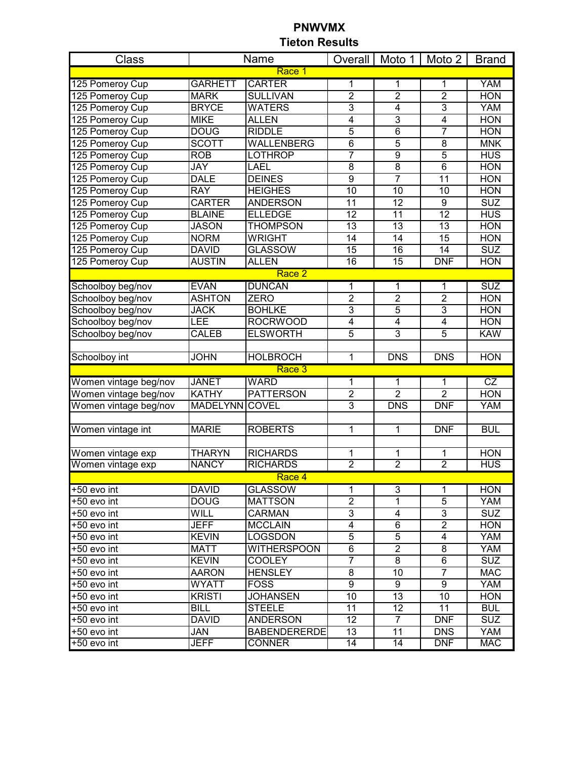| Class                        |                    | Name                                 |                       | Overall   Moto 1                   | Moto 2                   | <b>Brand</b>      |  |
|------------------------------|--------------------|--------------------------------------|-----------------------|------------------------------------|--------------------------|-------------------|--|
| Race 1                       |                    |                                      |                       |                                    |                          |                   |  |
| 125 Pomeroy Cup              | <b>GARHETT</b>     | <b>CARTER</b>                        | 1                     | 1                                  | 1                        | <b>YAM</b>        |  |
| 125 Pomeroy Cup              | <b>MARK</b>        | <b>SULLIVAN</b>                      | $\overline{2}$        | $\overline{2}$                     | $\overline{2}$           | <b>HON</b>        |  |
| 125 Pomeroy Cup              | <b>BRYCE</b>       | <b>WATERS</b>                        | 3                     | 4                                  | 3                        | <b>YAM</b>        |  |
| 125 Pomeroy Cup              | <b>MIKE</b>        | <b>ALLEN</b>                         | 4                     | 3                                  | $\overline{4}$           | <b>HON</b>        |  |
| 125 Pomeroy Cup              | <b>DOUG</b>        | <b>RIDDLE</b>                        | 5                     | $\overline{6}$                     | 7                        | <b>HON</b>        |  |
| 125 Pomeroy Cup              | <b>SCOTT</b>       | <b>WALLENBERG</b>                    | $\overline{6}$        | $\overline{5}$                     | $\overline{8}$           | <b>MNK</b>        |  |
| 125 Pomeroy Cup              | <b>ROB</b>         | <b>LOTHROP</b>                       | $\overline{7}$        | $\overline{9}$                     | $\overline{5}$           | <b>HUS</b>        |  |
| 125 Pomeroy Cup              | <b>JAY</b>         | <b>LAEL</b>                          | $\overline{8}$        | $\overline{8}$                     | $\overline{6}$           | <b>HON</b>        |  |
| 125 Pomeroy Cup              | <b>DALE</b>        | <b>DEINES</b>                        | $\overline{9}$        | 7                                  | $\overline{11}$          | <b>HON</b>        |  |
| 125 Pomeroy Cup              | <b>RAY</b>         | <b>HEIGHES</b>                       | $\overline{10}$       | $\overline{10}$                    | $\overline{10}$          | <b>HON</b>        |  |
| 125 Pomeroy Cup              | <b>CARTER</b>      | <b>ANDERSON</b>                      | 11                    | 12                                 | $\overline{9}$           | <b>SUZ</b>        |  |
| 125 Pomeroy Cup              | <b>BLAINE</b>      | <b>ELLEDGE</b>                       | 12                    | 11                                 | $\overline{12}$          | <b>HUS</b>        |  |
| 125 Pomeroy Cup              | <b>JASON</b>       | <b>THOMPSON</b>                      | $\overline{13}$       | $\overline{13}$                    | $\overline{13}$          | <b>HON</b>        |  |
| 125 Pomeroy Cup              | <b>NORM</b>        | <b>WRIGHT</b>                        | 14                    | $\overline{14}$                    | 15                       | <b>HON</b>        |  |
| 125 Pomeroy Cup              | <b>DAVID</b>       | <b>GLASSOW</b>                       | 15                    | 16                                 | 14                       | <b>SUZ</b>        |  |
| 125 Pomeroy Cup              | <b>AUSTIN</b>      | <b>ALLEN</b>                         | 16                    | $\overline{15}$                    | <b>DNF</b>               | <b>HON</b>        |  |
|                              |                    | Race 2                               |                       |                                    |                          |                   |  |
| Schoolboy beg/nov            | <b>EVAN</b>        | <b>DUNCAN</b>                        | 1                     | 1                                  | 1                        | <b>SUZ</b>        |  |
| Schoolboy beg/nov            | <b>ASHTON</b>      | <b>ZERO</b>                          | $\overline{2}$        | $\overline{2}$                     | $\overline{2}$           | <b>HON</b>        |  |
| Schoolboy beg/nov            | <b>JACK</b>        | <b>BOHLKE</b>                        | 3                     | $\overline{5}$                     | $\overline{3}$           | <b>HON</b>        |  |
| Schoolboy beg/nov            | <b>LEE</b>         | <b>ROCRWOOD</b>                      | $\overline{4}$        | $\overline{4}$                     | 4                        | <b>HON</b>        |  |
| Schoolboy beg/nov            | <b>CALEB</b>       | <b>ELSWORTH</b>                      | $\overline{5}$        | $\overline{3}$                     | $\overline{5}$           | <b>KAW</b>        |  |
|                              |                    |                                      |                       |                                    |                          |                   |  |
| Schoolboy int                | <b>JOHN</b>        | <b>HOLBROCH</b>                      | 1                     | <b>DNS</b>                         | <b>DNS</b>               | <b>HON</b>        |  |
|                              |                    | Race 3                               |                       |                                    |                          |                   |  |
| Women vintage beg/nov        | <b>JANET</b>       | <b>WARD</b>                          | 1                     | 1                                  | 1                        | CZ                |  |
| Women vintage beg/nov        | <b>KATHY</b>       | <b>PATTERSON</b>                     | $\overline{2}$        | $\overline{2}$                     | $\overline{2}$           | <b>HON</b>        |  |
| Women vintage beg/nov        | MADELYNN COVEL     |                                      | 3                     | <b>DNS</b>                         | <b>DNF</b>               | <b>YAM</b>        |  |
|                              |                    |                                      |                       |                                    |                          |                   |  |
| Women vintage int            | <b>MARIE</b>       | <b>ROBERTS</b>                       | 1                     | 1                                  | <b>DNF</b>               | <b>BUL</b>        |  |
|                              |                    |                                      |                       |                                    |                          |                   |  |
| Women vintage exp            | <b>THARYN</b>      | <b>RICHARDS</b>                      | 1                     | 1                                  | 1                        | <b>HON</b>        |  |
| Women vintage exp            | <b>NANCY</b>       | <b>RICHARDS</b>                      | $\overline{2}$        | $\overline{2}$                     | $\overline{2}$           | <b>HUS</b>        |  |
|                              |                    | Race 4                               |                       |                                    |                          |                   |  |
| $+50$ evo int                | <b>DAVID</b>       | <b>GLASSOW</b>                       | 1                     | 3                                  | 1                        | <b>HON</b>        |  |
| +50 evo int                  | <b>DOUG</b>        | <b>MATTSON</b>                       | $\overline{2}$        | $\mathbf{1}$                       | $\overline{5}$           | <b>YAM</b>        |  |
| +50 evo int                  | <b>WILL</b>        | <b>CARMAN</b>                        | $\overline{3}$        | $\overline{\mathbf{4}}$            | $\overline{3}$           | <b>SUZ</b>        |  |
| +50 evo int                  | <b>JEFF</b>        | <b>MCCLAIN</b>                       | $\overline{4}$        | $\overline{6}$                     | $\overline{2}$           | <b>HON</b>        |  |
| +50 evo int                  | <b>KEVIN</b>       | <b>LOGSDON</b>                       | $\overline{5}$        | $\overline{5}$                     | 4                        | YAM               |  |
| +50 evo int                  | <b>MATT</b>        | <b>WITHERSPOON</b>                   | 6                     | $\overline{2}$                     | 8                        | YAM               |  |
| +50 evo int                  | <b>KEVIN</b>       | <b>COOLEY</b>                        | $\overline{7}$        | 8                                  | 6                        | <b>SUZ</b>        |  |
| +50 evo int                  | <b>AARON</b>       | <b>HENSLEY</b>                       | 8                     | 10                                 | $\overline{7}$           | <b>MAC</b>        |  |
| +50 evo int                  | <b>WYATT</b>       | <b>FOSS</b>                          | 9                     | 9                                  | 9                        | YAM               |  |
| +50 evo int                  | <b>KRISTI</b>      | <b>JOHANSEN</b>                      | 10                    | $\overline{13}$                    | 10                       | <b>HON</b>        |  |
| +50 evo int                  | <b>BILL</b>        | <b>STEELE</b>                        | 11                    | $\overline{12}$                    | 11                       | <b>BUL</b>        |  |
|                              |                    |                                      |                       |                                    |                          |                   |  |
| +50 evo int                  | <b>DAVID</b>       | <b>ANDERSON</b>                      | $\overline{12}$       | $\overline{7}$                     | <b>DNF</b>               | <b>SUZ</b>        |  |
| +50 evo int<br>$+50$ evo int | JAN<br><b>JEFF</b> | <b>BABENDERERDE</b><br><b>CONNER</b> | 13<br>$\overline{14}$ | $\overline{11}$<br>$\overline{14}$ | <b>DNS</b><br><b>DNF</b> | YAM<br><b>MAC</b> |  |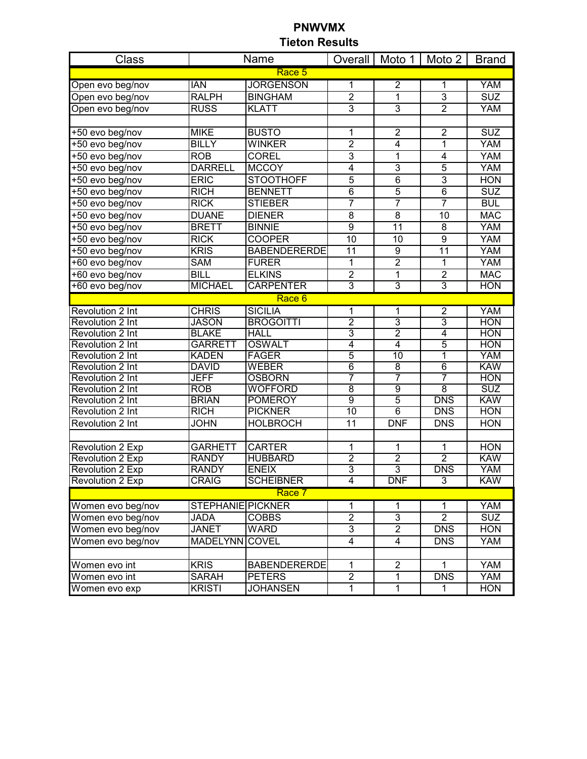| Class                   |                          | Name                |                    |                         | Overall   Moto 1   Moto 2   Brand |            |  |  |
|-------------------------|--------------------------|---------------------|--------------------|-------------------------|-----------------------------------|------------|--|--|
| Race 5                  |                          |                     |                    |                         |                                   |            |  |  |
| Open evo beg/nov        | <b>IAN</b>               | <b>JORGENSON</b>    | 1                  | $\overline{2}$          | 1                                 | <b>YAM</b> |  |  |
| Open evo beg/nov        | <b>RALPH</b>             | <b>BINGHAM</b>      | $\overline{2}$     | 1                       | $\overline{3}$                    | <b>SUZ</b> |  |  |
| Open evo beg/nov        | <b>RUSS</b>              | <b>KLATT</b>        | $\overline{3}$     | $\overline{3}$          | $\overline{2}$                    | <b>YAM</b> |  |  |
|                         |                          |                     |                    |                         |                                   |            |  |  |
| +50 evo beg/nov         | <b>MIKE</b>              | <b>BUSTO</b>        | 1                  | $\overline{2}$          | $\overline{2}$                    | <b>SUZ</b> |  |  |
| +50 evo beg/nov         | <b>BILLY</b>             | <b>WINKER</b>       | $\overline{2}$     | $\overline{4}$          | 1                                 | <b>YAM</b> |  |  |
| +50 evo beg/nov         | <b>ROB</b>               | <b>COREL</b>        | $\overline{3}$     | 1                       | 4                                 | YAM        |  |  |
| +50 evo beg/nov         | <b>DARRELL</b>           | <b>MCCOY</b>        | $\overline{4}$     | $\overline{3}$          | $\overline{5}$                    | YAM        |  |  |
| +50 evo beg/nov         | <b>ERIC</b>              | <b>STOOTHOFF</b>    | $\overline{5}$     | $\overline{6}$          | $\overline{3}$                    | <b>HON</b> |  |  |
| +50 evo beg/nov         | <b>RICH</b>              | <b>BENNETT</b>      | 6                  | $\overline{5}$          | 6                                 | <b>SUZ</b> |  |  |
| +50 evo beg/nov         | <b>RICK</b>              | <b>STIEBER</b>      | 7                  | 7                       | $\overline{7}$                    | <b>BUL</b> |  |  |
| +50 evo beg/nov         | <b>DUANE</b>             | <b>DIENER</b>       | 8                  | 8                       | 10                                | <b>MAC</b> |  |  |
| +50 evo beg/nov         | <b>BRETT</b>             | <b>BINNIE</b>       | 9                  | 11                      | 8                                 | <b>YAM</b> |  |  |
| +50 evo beg/nov         | <b>RICK</b>              | <b>COOPER</b>       | 10                 | 10                      | 9                                 | <b>YAM</b> |  |  |
| +50 evo beg/nov         | <b>KRIS</b>              | <b>BABENDERERDE</b> | 11                 | $\overline{9}$          | $\overline{11}$                   | <b>YAM</b> |  |  |
| +60 evo beg/nov         | <b>SAM</b>               | <b>FURER</b>        | 1                  | $\overline{2}$          | 1                                 | <b>YAM</b> |  |  |
| +60 evo beg/nov         | <b>BILL</b>              | <b>ELKINS</b>       | $\overline{2}$     | 1                       | $\overline{2}$                    | <b>MAC</b> |  |  |
| +60 evo beg/nov         | <b>MICHAEL</b>           | <b>CARPENTER</b>    | $\overline{3}$     | $\overline{3}$          | $\overline{3}$                    | <b>HON</b> |  |  |
|                         |                          | Race 6              |                    |                         |                                   |            |  |  |
| Revolution 2 Int        | <b>CHRIS</b>             | <b>SICILIA</b>      | 1                  | 1                       | $\overline{2}$                    | <b>YAM</b> |  |  |
| Revolution 2 Int        | <b>JASON</b>             | <b>BROGOITTI</b>    | $\overline{2}$     | $\overline{3}$          | $\overline{3}$                    | <b>HON</b> |  |  |
| Revolution 2 Int        | <b>BLAKE</b>             | <b>HALL</b>         | 3                  | $\overline{2}$          | 4                                 | <b>HON</b> |  |  |
| Revolution 2 Int        | <b>GARRETT</b>           | <b>OSWALT</b>       | $\overline{4}$     | $\overline{4}$          | $\overline{5}$                    | <b>HON</b> |  |  |
| Revolution 2 Int        | <b>KADEN</b>             | <b>FAGER</b>        | $\overline{5}$     | 10                      | 1                                 | <b>YAM</b> |  |  |
| Revolution 2 Int        | <b>DAVID</b>             | <b>WEBER</b>        | $\overline{6}$     | $\overline{8}$          | $\overline{6}$                    | <b>KAW</b> |  |  |
| <b>Revolution 2 Int</b> | <b>JEFF</b>              | <b>OSBORN</b>       | 7                  | 7                       | 7                                 | <b>HON</b> |  |  |
| <b>Revolution 2 Int</b> | <b>ROB</b>               | <b>WOFFORD</b>      | $\overline{\bf 8}$ | 9                       | $\overline{8}$                    | <b>SUZ</b> |  |  |
| <b>Revolution 2 Int</b> | <b>BRIAN</b>             | <b>POMEROY</b>      | g                  | 5                       | <b>DNS</b>                        | <b>KAW</b> |  |  |
| <b>Revolution 2 Int</b> | <b>RICH</b>              | <b>PICKNER</b>      | $\overline{10}$    | $\overline{6}$          | <b>DNS</b>                        | <b>HON</b> |  |  |
| Revolution 2 Int        | <b>JOHN</b>              | <b>HOLBROCH</b>     | $\overline{11}$    | <b>DNF</b>              | <b>DNS</b>                        | <b>HON</b> |  |  |
|                         |                          |                     |                    |                         |                                   |            |  |  |
| Revolution 2 Exp        | <b>GARHETT</b>           | <b>CARTER</b>       | 1                  | 1                       | $\overline{1}$                    | <b>HON</b> |  |  |
| <b>Revolution 2 Exp</b> | <b>RANDY</b>             | <b>HUBBARD</b>      | $\overline{2}$     | $\overline{2}$          | $\overline{2}$                    | <b>KAW</b> |  |  |
| <b>Revolution 2 Exp</b> | <b>RANDY</b>             | <b>ENEIX</b>        | 3                  | 3                       | <b>DNS</b>                        | <b>YAM</b> |  |  |
| Revolution 2 Exp        | <b>CRAIG</b>             | <b>SCHEIBNER</b>    | 4                  | <b>DNF</b>              | $\overline{3}$                    | <b>KAW</b> |  |  |
| Race 7                  |                          |                     |                    |                         |                                   |            |  |  |
| Women evo beg/nov       | <b>STEPHANIE PICKNER</b> |                     | 1                  | 1                       | 1                                 | YAM        |  |  |
| Women evo beg/nov       | <b>JADA</b>              | <b>COBBS</b>        | $\overline{2}$     | $\overline{3}$          | $\overline{2}$                    | <b>SUZ</b> |  |  |
| Women evo beg/nov       | JANET                    | WARD                | $\overline{3}$     | $\overline{2}$          | <b>DNS</b>                        | <b>HON</b> |  |  |
| Women evo beg/nov       | MADELYNN COVEL           |                     | $\overline{4}$     | $\overline{\mathbf{4}}$ | <b>DNS</b>                        | YAM        |  |  |
|                         |                          |                     |                    |                         |                                   |            |  |  |
| Women evo int           | <b>KRIS</b>              | <b>BABENDERERDE</b> | $\mathbf{1}$       | $\overline{2}$          | $\mathbf 1$                       | YAM        |  |  |
| Women evo int           | <b>SARAH</b>             | <b>PETERS</b>       | $\overline{2}$     | 1                       | <b>DNS</b>                        | YAM        |  |  |
| Women evo exp           | <b>KRISTI</b>            | <b>JOHANSEN</b>     | 1                  | $\overline{1}$          | $\mathbf{1}$                      | <b>HON</b> |  |  |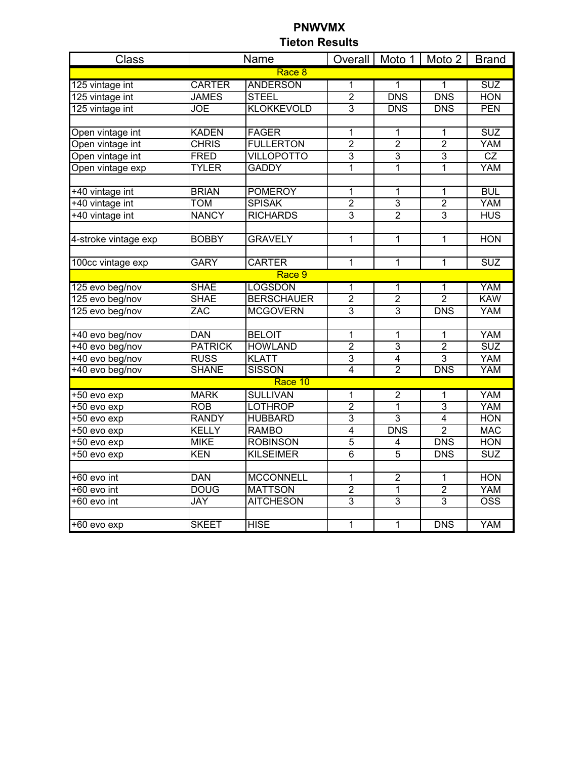| <b>Class</b>         |                | Name              |                |                | Overall   Moto 1   Moto 2 | <b>Brand</b>     |  |  |
|----------------------|----------------|-------------------|----------------|----------------|---------------------------|------------------|--|--|
| Race 8               |                |                   |                |                |                           |                  |  |  |
| 125 vintage int      | <b>CARTER</b>  | <b>ANDERSON</b>   | $\overline{1}$ | 1              | 1                         | <b>SUZ</b>       |  |  |
| 125 vintage int      | <b>JAMES</b>   | <b>STEEL</b>      | $\overline{2}$ | <b>DNS</b>     | <b>DNS</b>                | <b>HON</b>       |  |  |
| 125 vintage int      | <b>JOE</b>     | <b>KLOKKEVOLD</b> | $\overline{3}$ | <b>DNS</b>     | <b>DNS</b>                | <b>PEN</b>       |  |  |
|                      |                |                   |                |                |                           |                  |  |  |
| Open vintage int     | <b>KADEN</b>   | <b>FAGER</b>      | $\mathbf{1}$   | 1              | 1                         | <b>SUZ</b>       |  |  |
| Open vintage int     | <b>CHRIS</b>   | <b>FULLERTON</b>  | $\overline{2}$ | $\overline{2}$ | $\overline{2}$            | <b>YAM</b>       |  |  |
| Open vintage int     | <b>FRED</b>    | <b>VILLOPOTTO</b> | $\overline{3}$ | $\overline{3}$ | $\overline{3}$            | CZ               |  |  |
| Open vintage exp     | <b>TYLER</b>   | <b>GADDY</b>      | $\overline{1}$ | 1              | 1                         | YAM              |  |  |
|                      |                |                   |                |                |                           |                  |  |  |
| +40 vintage int      | <b>BRIAN</b>   | <b>POMEROY</b>    | $\mathbf{1}$   | 1              | 1                         | <b>BUL</b>       |  |  |
| +40 vintage int      | <b>TOM</b>     | <b>SPISAK</b>     | $\overline{2}$ | $\overline{3}$ | $\overline{2}$            | <b>YAM</b>       |  |  |
| +40 vintage int      | <b>NANCY</b>   | <b>RICHARDS</b>   | $\overline{3}$ | $\overline{2}$ | 3                         | <b>HUS</b>       |  |  |
|                      |                |                   |                |                |                           |                  |  |  |
| 4-stroke vintage exp | <b>BOBBY</b>   | <b>GRAVELY</b>    | $\mathbf 1$    | $\mathbf{1}$   | 1                         | <b>HON</b>       |  |  |
|                      |                |                   |                |                |                           |                  |  |  |
| 100cc vintage exp    | <b>GARY</b>    | <b>CARTER</b>     | 1              | 1              | 1                         | <b>SUZ</b>       |  |  |
|                      |                | Race 9            |                |                |                           |                  |  |  |
| 125 evo beg/nov      | <b>SHAE</b>    | <b>LOGSDON</b>    | 1              | 1              | 1                         | <b>YAM</b>       |  |  |
| 125 evo beg/nov      | <b>SHAE</b>    | <b>BERSCHAUER</b> | $\overline{2}$ | $\overline{2}$ | $\overline{2}$            | <b>KAW</b>       |  |  |
| 125 evo beg/nov      | ZAC            | <b>MCGOVERN</b>   | 3              | $\overline{3}$ | <b>DNS</b>                | <b>YAM</b>       |  |  |
|                      |                |                   |                |                |                           |                  |  |  |
| +40 evo beg/nov      | <b>DAN</b>     | <b>BELOIT</b>     | 1              | 1              | 1                         | <b>YAM</b>       |  |  |
| $+40$ evo beg/nov    | <b>PATRICK</b> | <b>HOWLAND</b>    | $\overline{2}$ | $\overline{3}$ | $\overline{2}$            | <b>SUZ</b>       |  |  |
| +40 evo beg/nov      | <b>RUSS</b>    | <b>KLATT</b>      | $\overline{3}$ | $\overline{4}$ | $\overline{3}$            | <b>YAM</b>       |  |  |
| +40 evo beg/nov      | <b>SHANE</b>   | <b>SISSON</b>     | $\overline{4}$ | $\overline{2}$ | <b>DNS</b>                | <b>YAM</b>       |  |  |
|                      |                | Race 10           |                |                |                           |                  |  |  |
| $+50$ evo exp        | <b>MARK</b>    | <b>SULLIVAN</b>   | 1              | $\overline{2}$ | 1                         | <b>YAM</b>       |  |  |
| $+50$ evo exp        | <b>ROB</b>     | <b>LOTHROP</b>    | $\overline{2}$ | 1              | $\overline{3}$            | <b>YAM</b>       |  |  |
| $+50$ evo exp        | <b>RANDY</b>   | <b>HUBBARD</b>    | $\overline{3}$ | $\overline{3}$ | $\overline{4}$            | <b>HON</b>       |  |  |
| +50 evo exp          | <b>KELLY</b>   | <b>RAMBO</b>      | $\overline{4}$ | <b>DNS</b>     | $\overline{2}$            | <b>MAC</b>       |  |  |
| +50 evo exp          | <b>MIKE</b>    | <b>ROBINSON</b>   | $\overline{5}$ | 4              | <b>DNS</b>                | <b>HON</b>       |  |  |
| +50 evo exp          | <b>KEN</b>     | <b>KILSEIMER</b>  | $\overline{6}$ | 5              | <b>DNS</b>                | <b>SUZ</b>       |  |  |
|                      |                |                   |                |                |                           |                  |  |  |
| +60 evo int          | <b>DAN</b>     | <b>MCCONNELL</b>  | 1              | $\overline{2}$ | 1                         | <b>HON</b>       |  |  |
| +60 evo int          | <b>DOUG</b>    | <b>MATTSON</b>    | $\overline{2}$ | $\mathbf{1}$   | $\overline{2}$            | <b>YAM</b>       |  |  |
| +60 evo int          | <b>JAY</b>     | <b>AITCHESON</b>  | $\overline{3}$ | $\overline{3}$ | $\overline{3}$            | $\overline{OSS}$ |  |  |
|                      |                |                   |                |                |                           |                  |  |  |
| +60 evo exp          | <b>SKEET</b>   | <b>HISE</b>       | $\overline{1}$ | 1              | <b>DNS</b>                | <b>YAM</b>       |  |  |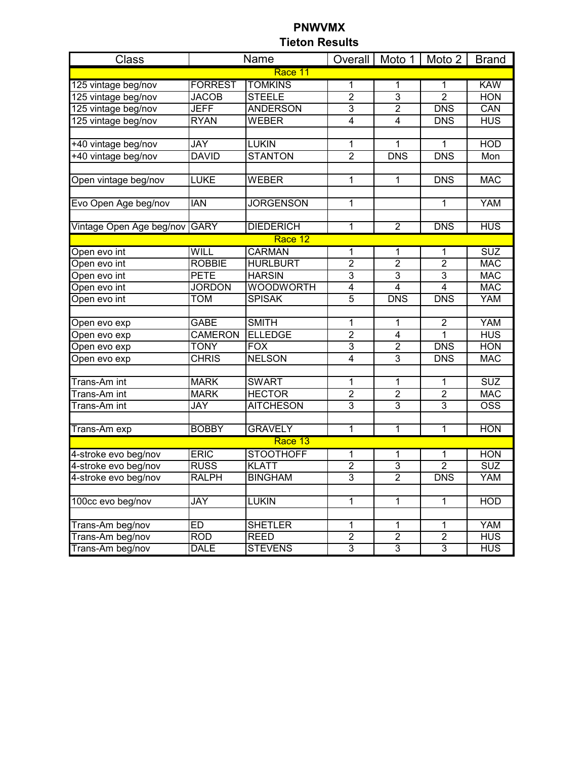| Class                        |                | Name             |                         |                     | Overall   Moto 1   Moto 2 | <b>Brand</b>                                                |  |  |
|------------------------------|----------------|------------------|-------------------------|---------------------|---------------------------|-------------------------------------------------------------|--|--|
| Race 11                      |                |                  |                         |                     |                           |                                                             |  |  |
| 125 vintage beg/nov          | <b>FORREST</b> | <b>TOMKINS</b>   | 1                       | 1                   | 1                         | <b>KAW</b>                                                  |  |  |
| 125 vintage beg/nov          | <b>JACOB</b>   | <b>STEELE</b>    | $\overline{2}$          | $\overline{3}$      | $\overline{2}$            | <b>HON</b>                                                  |  |  |
| 125 vintage beg/nov          | <b>JEFF</b>    | <b>ANDERSON</b>  | $\overline{3}$          | $\overline{2}$      | <b>DNS</b>                | CAN                                                         |  |  |
| 125 vintage beg/nov          | <b>RYAN</b>    | WEBER            | $\overline{4}$          | $\overline{4}$      | <b>DNS</b>                | <b>HUS</b>                                                  |  |  |
|                              |                |                  |                         |                     |                           |                                                             |  |  |
| +40 vintage beg/nov          | <b>JAY</b>     | <b>LUKIN</b>     | 1                       | 1                   | 1                         | <b>HOD</b>                                                  |  |  |
| +40 vintage beg/nov          | <b>DAVID</b>   | <b>STANTON</b>   | $\overline{2}$          | <b>DNS</b>          | <b>DNS</b>                | Mon                                                         |  |  |
|                              |                |                  |                         |                     |                           |                                                             |  |  |
| Open vintage beg/nov         | <b>LUKE</b>    | <b>WEBER</b>     | 1                       | $\mathbf{1}$        | <b>DNS</b>                | <b>MAC</b>                                                  |  |  |
|                              |                |                  |                         |                     |                           |                                                             |  |  |
| Evo Open Age beg/nov         | <b>IAN</b>     | <b>JORGENSON</b> | 1                       |                     | $\mathbf{1}$              | <b>YAM</b>                                                  |  |  |
| Vintage Open Age beg/nov     | <b>GARY</b>    | <b>DIEDERICH</b> | 1                       | $\overline{2}$      | <b>DNS</b>                | <b>HUS</b>                                                  |  |  |
|                              |                | Race 12          |                         |                     |                           |                                                             |  |  |
|                              | WILL           | <b>CARMAN</b>    |                         |                     |                           | <b>SUZ</b>                                                  |  |  |
| Open evo int                 | <b>ROBBIE</b>  | <b>HURLBURT</b>  | 1<br>$\overline{2}$     | 1<br>$\overline{2}$ | 1<br>$\overline{2}$       | <b>MAC</b>                                                  |  |  |
| Open evo int                 | <b>PETE</b>    | <b>HARSIN</b>    | $\overline{3}$          | $\overline{3}$      | $\overline{3}$            | <b>MAC</b>                                                  |  |  |
| Open evo int                 | <b>JORDON</b>  | <b>WOODWORTH</b> | $\overline{4}$          | $\overline{4}$      | $\overline{4}$            | <b>MAC</b>                                                  |  |  |
| Open evo int<br>Open evo int | <b>TOM</b>     | <b>SPISAK</b>    | $\overline{5}$          | <b>DNS</b>          | <b>DNS</b>                | <b>YAM</b>                                                  |  |  |
|                              |                |                  |                         |                     |                           |                                                             |  |  |
| Open evo exp                 | GABE           | <b>SMITH</b>     | 1                       | 1                   | $\overline{\mathbf{c}}$   | <b>YAM</b>                                                  |  |  |
| Open evo exp                 | <b>CAMERON</b> | <b>ELLEDGE</b>   | $\overline{2}$          | 4                   | 1                         | <b>HUS</b>                                                  |  |  |
| Open evo exp                 | <b>TONY</b>    | <b>FOX</b>       | 3                       | $\overline{2}$      | <b>DNS</b>                | <b>HON</b>                                                  |  |  |
| Open evo exp                 | <b>CHRIS</b>   | <b>NELSON</b>    | $\overline{4}$          | $\overline{3}$      | <b>DNS</b>                | <b>MAC</b>                                                  |  |  |
|                              |                |                  |                         |                     |                           |                                                             |  |  |
| Trans-Am int                 | <b>MARK</b>    | <b>SWART</b>     | 1                       | 1                   | 1                         | <b>SUZ</b>                                                  |  |  |
| Trans-Am int                 | <b>MARK</b>    | <b>HECTOR</b>    | $\overline{2}$          | $\overline{2}$      | $\overline{2}$            | <b>MAC</b>                                                  |  |  |
| Trans-Am int                 | <b>JAY</b>     | <b>AITCHESON</b> | $\overline{3}$          | $\overline{3}$      | $\overline{3}$            | $\overline{OSS}$                                            |  |  |
|                              |                |                  |                         |                     |                           |                                                             |  |  |
| Trans-Am exp                 | <b>BOBBY</b>   | <b>GRAVELY</b>   | $\mathbf{1}$            | $\overline{1}$      | 1                         | <b>HON</b>                                                  |  |  |
|                              |                | Race 13          |                         |                     |                           |                                                             |  |  |
| 4-stroke evo beg/nov         | <b>ERIC</b>    | <b>STOOTHOFF</b> | 1                       | 1                   | 1                         | <b>HON</b>                                                  |  |  |
| 4-stroke evo beg/nov         | <b>RUSS</b>    | <b>KLATT</b>     | $\overline{2}$          | $\overline{3}$      | $\overline{2}$            | $\overline{\text{S}}\overline{\text{U}}\overline{\text{Z}}$ |  |  |
| 4-stroke evo beg/nov         | <b>RALPH</b>   | <b>BINGHAM</b>   | $\overline{3}$          | $\overline{2}$      | <b>DNS</b>                | YAM                                                         |  |  |
|                              |                |                  |                         |                     |                           |                                                             |  |  |
| 100cc evo beg/nov            | JAY            | <b>LUKIN</b>     | 1                       | $\mathbf{1}$        | $\mathbf 1$               | <b>HOD</b>                                                  |  |  |
|                              |                |                  |                         |                     |                           |                                                             |  |  |
| Trans-Am beg/nov             | <b>ED</b>      | <b>SHETLER</b>   | 1                       | 1                   | $\mathbf{1}$              | <b>YAM</b>                                                  |  |  |
| Trans-Am beg/nov             | <b>ROD</b>     | <b>REED</b>      | $\overline{\mathbf{c}}$ | $\mathbf 2$         | $\boldsymbol{2}$          | <b>HUS</b>                                                  |  |  |
| Trans-Am beg/nov             | <b>DALE</b>    | <b>STEVENS</b>   | $\overline{3}$          | $\overline{3}$      | $\overline{3}$            | <b>HUS</b>                                                  |  |  |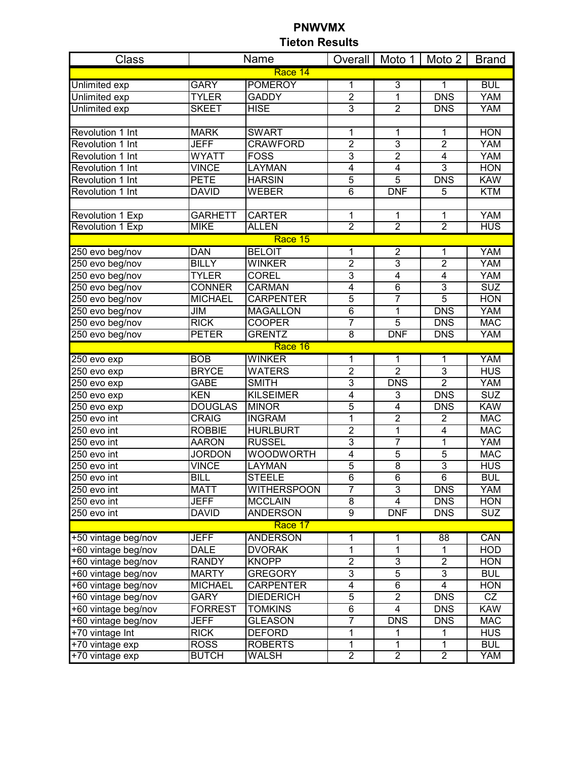| <b>Class</b>             |                | Name               |                |                           | Overall   Moto 1   Moto 2 | <b>Brand</b>           |  |
|--------------------------|----------------|--------------------|----------------|---------------------------|---------------------------|------------------------|--|
| Race 14                  |                |                    |                |                           |                           |                        |  |
| <b>Unlimited exp</b>     | <b>GARY</b>    | <b>POMEROY</b>     | 1              | $\overline{3}$            | $\mathbf{1}$              | <b>BUL</b>             |  |
| <b>Unlimited exp</b>     | <b>TYLER</b>   | <b>GADDY</b>       | $\overline{2}$ | $\overline{1}$            | <b>DNS</b>                | <b>YAM</b>             |  |
| <b>Unlimited exp</b>     | <b>SKEET</b>   | <b>HISE</b>        | $\overline{3}$ | $\overline{2}$            | <b>DNS</b>                | <b>YAM</b>             |  |
|                          |                |                    |                |                           |                           |                        |  |
| Revolution 1 Int         | <b>MARK</b>    | <b>SWART</b>       | 1              | 1                         | 1                         | <b>HON</b>             |  |
| <b>Revolution 1 Int</b>  | <b>JEFF</b>    | <b>CRAWFORD</b>    | $\overline{2}$ | $\overline{3}$            | $\overline{2}$            | YAM                    |  |
| Revolution 1 Int         | <b>WYATT</b>   | <b>FOSS</b>        | $\overline{3}$ | $\overline{2}$            | $\overline{\mathbf{4}}$   | <b>YAM</b>             |  |
| Revolution 1 Int         | <b>VINCE</b>   | <b>LAYMAN</b>      | $\overline{4}$ | $\overline{4}$            | $\overline{3}$            | <b>HON</b>             |  |
| <b>Revolution 1 Int</b>  | <b>PETE</b>    | <b>HARSIN</b>      | $\overline{5}$ | $\overline{5}$            | <b>DNS</b>                | <b>KAW</b>             |  |
| Revolution 1 Int         | <b>DAVID</b>   | <b>WEBER</b>       | $\overline{6}$ | <b>DNF</b>                | 5                         | <b>KTM</b>             |  |
|                          |                |                    |                |                           |                           |                        |  |
| Revolution 1 Exp         | <b>GARHETT</b> | <b>CARTER</b>      | 1              | $\mathbf{1}$              | $\mathbf{1}$              | <b>YAM</b>             |  |
| <b>Revolution 1 Exp</b>  | <b>MIKE</b>    | <b>ALLEN</b>       | $\overline{2}$ | $\overline{2}$            | $\overline{2}$            | <b>HUS</b>             |  |
|                          |                | Race 15            |                |                           |                           |                        |  |
| 250 evo beg/nov          | <b>DAN</b>     | <b>BELOIT</b>      | 1              | $\overline{2}$            | $\overline{1}$            | <b>YAM</b>             |  |
| 250 evo beg/nov          | <b>BILLY</b>   | <b>WINKER</b>      | $\overline{2}$ | 3                         | $\overline{2}$            | <b>YAM</b>             |  |
| 250 evo beg/nov          | <b>TYLER</b>   | <b>COREL</b>       | $\overline{3}$ | $\overline{4}$            | $\overline{4}$            | <b>YAM</b>             |  |
| 250 evo beg/nov          | <b>CONNER</b>  | <b>CARMAN</b>      | $\overline{4}$ | $\overline{6}$            | $\overline{3}$            | <b>SUZ</b>             |  |
| 250 evo beg/nov          | <b>MICHAEL</b> | <b>CARPENTER</b>   | $\overline{5}$ | $\overline{7}$            | $\overline{5}$            | <b>HON</b>             |  |
| 250 evo beg/nov          | JIM            | <b>MAGALLON</b>    | $\overline{6}$ | 1                         | <b>DNS</b>                | <b>YAM</b>             |  |
| 250 evo beg/nov          | <b>RICK</b>    | <b>COOPER</b>      | 7              | $\overline{5}$            | <b>DNS</b>                | <b>MAC</b>             |  |
| 250 evo beg/nov          | <b>PETER</b>   | <b>GRENTZ</b>      | $\overline{8}$ | <b>DNF</b>                | <b>DNS</b>                | <b>YAM</b>             |  |
|                          |                | Race 16            |                |                           |                           |                        |  |
| 250 evo exp              | <b>BOB</b>     | <b>WINKER</b>      | 1              | 1                         | 1                         | <b>YAM</b>             |  |
| $\overline{250}$ evo exp | <b>BRYCE</b>   | <b>WATERS</b>      | $\overline{2}$ | $\overline{2}$            | $\overline{3}$            | <b>HUS</b>             |  |
| 250 evo exp              | <b>GABE</b>    | <b>SMITH</b>       | 3              | <b>DNS</b>                | $\overline{2}$            | <b>YAM</b>             |  |
| 250 evo exp              | <b>KEN</b>     | <b>KILSEIMER</b>   | $\overline{4}$ | $\overline{3}$            | <b>DNS</b>                | <b>SUZ</b>             |  |
| $\overline{250}$ evo exp | <b>DOUGLAS</b> | <b>MINOR</b>       | $\overline{5}$ | $\overline{4}$            | <b>DNS</b>                | <b>KAW</b>             |  |
| 250 evo int              | <b>CRAIG</b>   | <b>INGRAM</b>      | 1              | $\overline{2}$            | $\overline{2}$            | <b>MAC</b>             |  |
| 250 evo int              | <b>ROBBIE</b>  | <b>HURLBURT</b>    | $\overline{2}$ | $\overline{1}$            | $\overline{4}$            | <b>MAC</b>             |  |
| 250 evo int              | <b>AARON</b>   | <b>RUSSEL</b>      | $\overline{3}$ | 7                         | $\overline{1}$            | <b>YAM</b>             |  |
| 250 evo int              | <b>JORDON</b>  | <b>WOODWORTH</b>   | $\overline{4}$ | $\overline{5}$            | $\overline{5}$            | <b>MAC</b>             |  |
| 250 evo int              | <b>VINCE</b>   | LAYMAN             | $\overline{5}$ | $\overline{8}$            | $\overline{3}$            | <b>HUS</b>             |  |
| 250 evo int              | <b>BILL</b>    | <b>STEELE</b>      | $\overline{6}$ | $\overline{6}$            | $\overline{6}$            | <b>BUL</b>             |  |
| 250 evo int              | <b>MATT</b>    | <b>WITHERSPOON</b> | $\overline{7}$ | $\ensuremath{\mathsf{3}}$ | <b>DNS</b>                | <b>YAM</b>             |  |
| 250 evo int              | <b>JEFF</b>    | <b>MCCLAIN</b>     | 8              | 4                         | <b>DNS</b>                | <b>HON</b>             |  |
| 250 evo int              | <b>DAVID</b>   | <b>ANDERSON</b>    | $\overline{9}$ | <b>DNF</b>                | <b>DNS</b>                | <b>SUZ</b>             |  |
|                          |                | Race 17            |                |                           |                           |                        |  |
| +50 vintage beg/nov      | <b>JEFF</b>    | <b>ANDERSON</b>    | 1              | 1                         | 88                        | CAN                    |  |
| +60 vintage beg/nov      | <b>DALE</b>    | <b>DVORAK</b>      | 1              | $\overline{1}$            | $\mathbf{1}$              | <b>HOD</b>             |  |
| +60 vintage beg/nov      | <b>RANDY</b>   | <b>KNOPP</b>       | $\overline{2}$ | $\overline{3}$            | $\overline{2}$            | <b>HON</b>             |  |
| +60 vintage beg/nov      | <b>MARTY</b>   | <b>GREGORY</b>     | $\overline{3}$ | $\overline{5}$            | $\overline{3}$            | <b>BUL</b>             |  |
| +60 vintage beg/nov      | <b>MICHAEL</b> | <b>CARPENTER</b>   | 4              | $\overline{6}$            | $\overline{\mathbf{4}}$   | <b>HON</b>             |  |
| +60 vintage beg/nov      | <b>GARY</b>    | <b>DIEDERICH</b>   | $\overline{5}$ | $\overline{2}$            | <b>DNS</b>                | $\overline{\text{CZ}}$ |  |
| +60 vintage beg/nov      | <b>FORREST</b> | <b>TOMKINS</b>     | $\overline{6}$ | $\overline{4}$            | <b>DNS</b>                | <b>KAW</b>             |  |
| +60 vintage beg/nov      | <b>JEFF</b>    | <b>GLEASON</b>     | 7              | <b>DNS</b>                | <b>DNS</b>                | <b>MAC</b>             |  |
| +70 vintage Int          | <b>RICK</b>    | <b>DEFORD</b>      | 1              | 1                         | 1                         | <b>HUS</b>             |  |
| +70 vintage exp          | <b>ROSS</b>    | <b>ROBERTS</b>     | 1              | $\mathbf{1}$              | $\mathbf{1}$              | <b>BUL</b>             |  |
| +70 vintage exp          | <b>BUTCH</b>   | WALSH              | $\overline{2}$ | $\overline{2}$            | $\overline{2}$            | <b>YAM</b>             |  |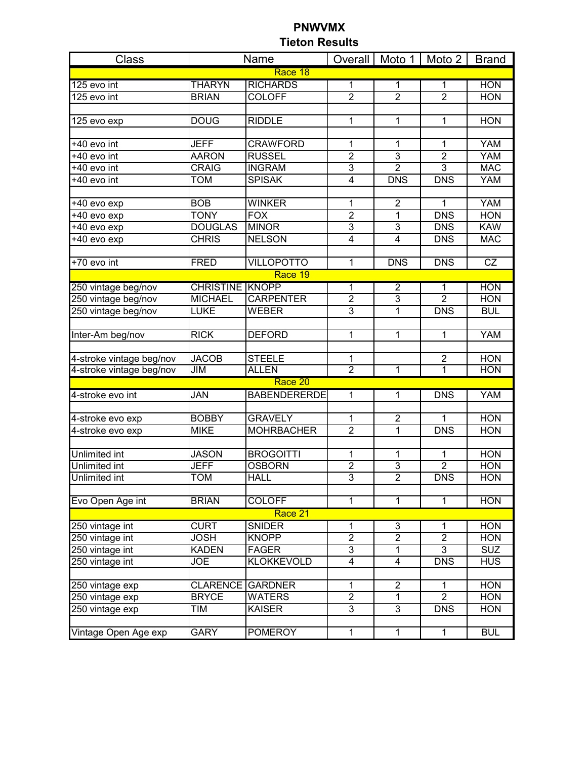| Class                    |                         | Name                |                         |                | Overall   Moto 1   Moto 2 | <b>Brand</b> |  |  |
|--------------------------|-------------------------|---------------------|-------------------------|----------------|---------------------------|--------------|--|--|
| Race 18                  |                         |                     |                         |                |                           |              |  |  |
| 125 evo int              | <b>THARYN</b>           | <b>RICHARDS</b>     | 1                       | 1              | 1                         | <b>HON</b>   |  |  |
| 125 evo int              | <b>BRIAN</b>            | <b>COLOFF</b>       | $\overline{2}$          | $\overline{2}$ | $\overline{2}$            | <b>HON</b>   |  |  |
|                          |                         |                     |                         |                |                           |              |  |  |
| 125 evo exp              | <b>DOUG</b>             | <b>RIDDLE</b>       | 1                       | 1              | 1                         | <b>HON</b>   |  |  |
|                          |                         |                     |                         |                |                           |              |  |  |
| +40 evo int              | <b>JEFF</b>             | <b>CRAWFORD</b>     | 1                       | $\mathbf 1$    | $\mathbf 1$               | <b>YAM</b>   |  |  |
| +40 evo int              | <b>AARON</b>            | <b>RUSSEL</b>       | $\overline{2}$          | $\overline{3}$ | $\overline{2}$            | <b>YAM</b>   |  |  |
| +40 evo int              | CRAIG                   | <b>INGRAM</b>       | $\overline{3}$          | $\overline{2}$ | $\overline{3}$            | <b>MAC</b>   |  |  |
| +40 evo int              | <b>TOM</b>              | <b>SPISAK</b>       | $\overline{\mathbf{4}}$ | <b>DNS</b>     | <b>DNS</b>                | <b>YAM</b>   |  |  |
|                          |                         |                     |                         |                |                           |              |  |  |
| +40 evo exp              | <b>BOB</b>              | <b>WINKER</b>       | 1                       | $\overline{2}$ | $\mathbf{1}$              | <b>YAM</b>   |  |  |
| +40 evo exp              | <b>TONY</b>             | <b>FOX</b>          | $\overline{2}$          | 1              | <b>DNS</b>                | <b>HON</b>   |  |  |
| +40 evo exp              | <b>DOUGLAS</b>          | <b>MINOR</b>        | 3                       | $\overline{3}$ | <b>DNS</b>                | <b>KAW</b>   |  |  |
| +40 evo exp              | <b>CHRIS</b>            | <b>NELSON</b>       | 4                       | $\overline{4}$ | <b>DNS</b>                | <b>MAC</b>   |  |  |
|                          |                         |                     |                         |                |                           |              |  |  |
| +70 evo int              | <b>FRED</b>             | <b>VILLOPOTTO</b>   | 1                       | <b>DNS</b>     | <b>DNS</b>                | CZ           |  |  |
|                          |                         | Race 19             |                         |                |                           |              |  |  |
| 250 vintage beg/nov      | <b>CHRISTINE KNOPP</b>  |                     | 1                       | $\overline{2}$ | $\overline{1}$            | <b>HON</b>   |  |  |
| 250 vintage beg/nov      | <b>MICHAEL</b>          | <b>CARPENTER</b>    | $\overline{2}$          | $\overline{3}$ | $\overline{2}$            | <b>HON</b>   |  |  |
| 250 vintage beg/nov      | <b>LUKE</b>             | WEBER               | $\overline{3}$          | 1              | <b>DNS</b>                | <b>BUL</b>   |  |  |
|                          |                         |                     |                         |                |                           |              |  |  |
| Inter-Am beg/nov         | <b>RICK</b>             | <b>DEFORD</b>       | 1                       | 1              | 1                         | <b>YAM</b>   |  |  |
|                          |                         |                     |                         |                |                           |              |  |  |
| 4-stroke vintage beg/nov | <b>JACOB</b>            | <b>STEELE</b>       | 1                       |                | $\overline{2}$            | <b>HON</b>   |  |  |
| 4-stroke vintage beg/nov | JIM                     | <b>ALLEN</b>        | $\overline{2}$          | 1              | 1                         | <b>HON</b>   |  |  |
|                          |                         | Race 20             |                         |                |                           |              |  |  |
| 4-stroke evo int         | JAN                     | <b>BABENDERERDE</b> | $\overline{1}$          | $\overline{1}$ | <b>DNS</b>                | <b>YAM</b>   |  |  |
|                          |                         |                     |                         |                |                           |              |  |  |
| 4-stroke evo exp         | <b>BOBBY</b>            | <b>GRAVELY</b>      | 1                       | $\overline{2}$ | 1                         | <b>HON</b>   |  |  |
| 4-stroke evo exp         | <b>MIKE</b>             | <b>MOHRBACHER</b>   | $\overline{2}$          | $\overline{1}$ | <b>DNS</b>                | <b>HON</b>   |  |  |
|                          |                         |                     |                         |                |                           |              |  |  |
| <b>Unlimited int</b>     | <b>JASON</b>            | <b>BROGOITTI</b>    | 1                       | 1              | $\mathbf{1}$              | <b>HON</b>   |  |  |
| Unlimited int            | <b>JEFF</b>             | <b>OSBORN</b>       | $\overline{2}$          | $\overline{3}$ | $\overline{2}$            | <b>HON</b>   |  |  |
| <b>Unlimited int</b>     | <b>TOM</b>              | <b>HALL</b>         | $\overline{3}$          | $\overline{2}$ | <b>DNS</b>                | <b>HON</b>   |  |  |
|                          |                         |                     |                         |                |                           |              |  |  |
| Evo Open Age int         | <b>BRIAN</b>            | <b>COLOFF</b>       | 1                       | 1              | 1                         | <b>HON</b>   |  |  |
|                          |                         | Race 21             |                         |                |                           |              |  |  |
| 250 vintage int          | <b>CURT</b>             | <b>SNIDER</b>       | 1                       | 3              | 1                         | <b>HON</b>   |  |  |
| 250 vintage int          | <b>JOSH</b>             | <b>KNOPP</b>        | $\overline{2}$          | $\overline{2}$ | $\overline{2}$            | <b>HON</b>   |  |  |
| 250 vintage int          | <b>KADEN</b>            | <b>FAGER</b>        | 3                       | 1              | $\overline{3}$            | <b>SUZ</b>   |  |  |
| 250 vintage int          | <b>JOE</b>              | <b>KLOKKEVOLD</b>   | 4                       | 4              | <b>DNS</b>                | <b>HUS</b>   |  |  |
|                          |                         |                     |                         |                |                           |              |  |  |
| 250 vintage exp          | <b>CLARENCE GARDNER</b> |                     | 1                       | $\overline{2}$ | 1                         | <b>HON</b>   |  |  |
| 250 vintage exp          | <b>BRYCE</b>            | <b>WATERS</b>       | $\overline{2}$          | $\overline{1}$ | $\overline{2}$            | <b>HON</b>   |  |  |
| 250 vintage exp          | TIM                     | <b>KAISER</b>       | $\overline{3}$          | $\overline{3}$ | <b>DNS</b>                | <b>HON</b>   |  |  |
|                          |                         |                     |                         |                |                           |              |  |  |
| Vintage Open Age exp     | <b>GARY</b>             | <b>POMEROY</b>      | 1                       | $\overline{1}$ | $\overline{1}$            | <b>BUL</b>   |  |  |